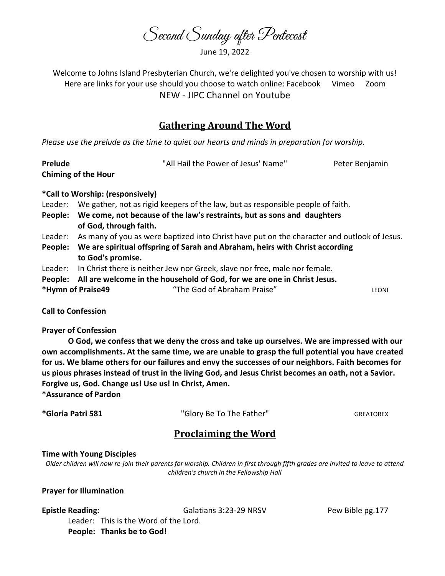Second Sunday after Pentecost

June 19, 2022

Welcome to Johns Island Presbyterian Church, we're delighted you've chosen to worship with us! Here are links for your use should you choose to watch online: Facebook Vimeo Zoom NEW - JIPC Channel on Youtube

# Gathering Around The Word

Please use the prelude as the time to quiet our hearts and minds in preparation for worship.

| Prelude                    | "All Hail the Power of Jesus' Name"                                                         | Peter Benjamin |  |  |
|----------------------------|---------------------------------------------------------------------------------------------|----------------|--|--|
| <b>Chiming of the Hour</b> |                                                                                             |                |  |  |
|                            | *Call to Worship: (responsively)                                                            |                |  |  |
| Leader:                    | We gather, not as rigid keepers of the law, but as responsible people of faith.             |                |  |  |
| People:                    | We come, not because of the law's restraints, but as sons and daughters                     |                |  |  |
|                            | of God, through faith.                                                                      |                |  |  |
| Leader:                    | As many of you as were baptized into Christ have put on the character and outlook of Jesus. |                |  |  |
| People:                    | We are spiritual offspring of Sarah and Abraham, heirs with Christ according                |                |  |  |
|                            | to God's promise.                                                                           |                |  |  |

- Leader: In Christ there is neither Jew nor Greek, slave nor free, male nor female.
- People: All are welcome in the household of God, for we are one in Christ Jesus.

\*Hymn of Praise49 "The God of Abraham Praise" LEONI

Call to Confession

## Prayer of Confession

O God, we confess that we deny the cross and take up ourselves. We are impressed with our own accomplishments. At the same time, we are unable to grasp the full potential you have created for us. We blame others for our failures and envy the successes of our neighbors. Faith becomes for us pious phrases instead of trust in the living God, and Jesus Christ becomes an oath, not a Savior. Forgive us, God. Change us! Use us! In Christ, Amen. \*Assurance of Pardon

\*Gloria Patri 581 **The Clory Be To The Father"** GREATOREX GREATOREX

# Proclaiming the Word

## Time with Young Disciples

Older children will now re-join their parents for worship. Children in first through fifth grades are invited to leave to attend children's church in the Fellowship Hall

## Prayer for Illumination

Epistle Reading: The Galatians 3:23-29 NRSV Pew Bible pg.177

 Leader: This is the Word of the Lord. People: Thanks be to God!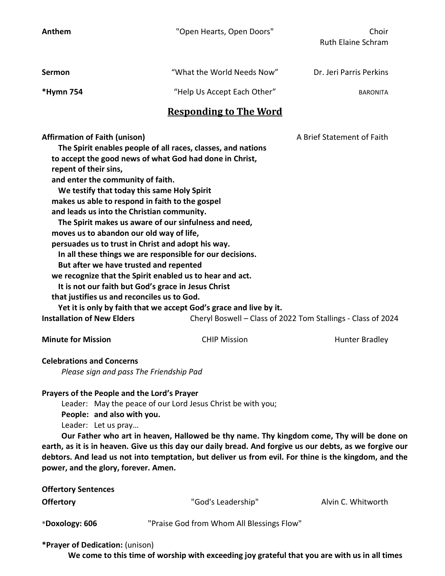Anthem Them The Choir Choir Choir Choir Choir Choir Choir Choir

| <b>Sermon</b> | "What the World Needs Now"  | Dr. Jeri Parris Perkins |
|---------------|-----------------------------|-------------------------|
| *Hymn 754     | "Help Us Accept Each Other" | <b>BARONITA</b>         |

## Responding to The Word

| <b>Affirmation of Faith (unison)</b>                               |                     | A Brief Statement of Faith                                   |  |  |  |
|--------------------------------------------------------------------|---------------------|--------------------------------------------------------------|--|--|--|
| The Spirit enables people of all races, classes, and nations       |                     |                                                              |  |  |  |
| to accept the good news of what God had done in Christ,            |                     |                                                              |  |  |  |
| repent of their sins,                                              |                     |                                                              |  |  |  |
| and enter the community of faith.                                  |                     |                                                              |  |  |  |
| We testify that today this same Holy Spirit                        |                     |                                                              |  |  |  |
| makes us able to respond in faith to the gospel                    |                     |                                                              |  |  |  |
| and leads us into the Christian community.                         |                     |                                                              |  |  |  |
| The Spirit makes us aware of our sinfulness and need,              |                     |                                                              |  |  |  |
| moves us to abandon our old way of life,                           |                     |                                                              |  |  |  |
| persuades us to trust in Christ and adopt his way.                 |                     |                                                              |  |  |  |
| In all these things we are responsible for our decisions.          |                     |                                                              |  |  |  |
| But after we have trusted and repented                             |                     |                                                              |  |  |  |
| we recognize that the Spirit enabled us to hear and act.           |                     |                                                              |  |  |  |
| It is not our faith but God's grace in Jesus Christ                |                     |                                                              |  |  |  |
| that justifies us and reconciles us to God.                        |                     |                                                              |  |  |  |
| Yet it is only by faith that we accept God's grace and live by it. |                     |                                                              |  |  |  |
| <b>Installation of New Elders</b>                                  |                     | Cheryl Boswell – Class of 2022 Tom Stallings - Class of 2024 |  |  |  |
| <b>Minute for Mission</b>                                          | <b>CHIP Mission</b> | Hunter Bradley                                               |  |  |  |

## Celebrations and Concerns

Please sign and pass The Friendship Pad

## Prayers of the People and the Lord's Prayer

Leader: May the peace of our Lord Jesus Christ be with you;

People: and also with you.

Leader: Let us pray…

 Our Father who art in heaven, Hallowed be thy name. Thy kingdom come, Thy will be done on earth, as it is in heaven. Give us this day our daily bread. And forgive us our debts, as we forgive our debtors. And lead us not into temptation, but deliver us from evil. For thine is the kingdom, and the power, and the glory, forever. Amen.

| <b>Offertory Sentences</b> |                                           |                    |
|----------------------------|-------------------------------------------|--------------------|
| <b>Offertory</b>           | "God's Leadership"                        | Alvin C. Whitworth |
| *Doxology: 606             | "Praise God from Whom All Blessings Flow" |                    |

## \*Prayer of Dedication: (unison)

We come to this time of worship with exceeding joy grateful that you are with us in all times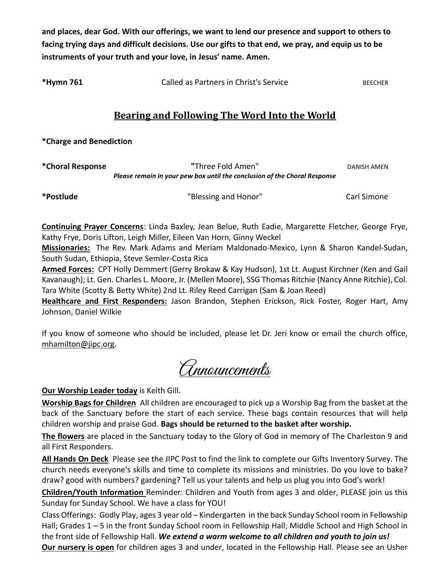and places, dear God. With our offerings, we want to lend our presence and support to others to facing trying days and difficult decisions. Use our gifts to that end, we pray, and equip us to be instruments of your truth and your love, in Jesus' name. Amen.

\*Hymn 761 Called as Partners in Christ's Service BEECHER

# Bearing and Following The Word Into the World

\*Charge and Benediction

\*Choral Response "Three Fold Amen" DANISH AMEN Please remain in your pew box until the conclusion of the Choral Response

\*Postlude "Blessing and Honor" Carl Simone

Continuing Prayer Concerns: Linda Baxley, Jean Belue, Ruth Eadie, Margarette Fletcher, George Frye, Kathy Frye, Doris Lifton, Leigh Miller, Eileen Van Horn, Ginny Weckel

Missionaries: The Rev. Mark Adams and Meriam Maldonado-Mexico, Lynn & Sharon Kandel-Sudan, South Sudan, Ethiopia, Steve Semler-Costa Rica

Armed Forces: CPT Holly Demmert (Gerry Brokaw & Kay Hudson), 1st Lt. August Kirchner (Ken and Gail Kavanaugh); Lt. Gen. Charles L. Moore, Jr. (Mellen Moore), SSG Thomas Ritchie (Nancy Anne Ritchie), Col. Tara White (Scotty & Betty White) 2nd Lt. Riley Reed Carrigan (Sam & Joan Reed)

Healthcare and First Responders: Jason Brandon, Stephen Erickson, Rick Foster, Roger Hart, Amy Johnson, Daniel Wilkie

If you know of someone who should be included, please let Dr. Jeri know or email the church office, mhamilton@jipc.org.

Announcements

Our Worship Leader today is Keith Gill.

Worship Bags for Children All children are encouraged to pick up a Worship Bag from the basket at the back of the Sanctuary before the start of each service. These bags contain resources that will help children worship and praise God. Bags should be returned to the basket after worship.

The flowers are placed in the Sanctuary today to the Glory of God in memory of The Charleston 9 and all First Responders.

All Hands On Deck Please see the JIPC Post to find the link to complete our Gifts Inventory Survey. The church needs everyone's skills and time to complete its missions and ministries. Do you love to bake? draw? good with numbers? gardening? Tell us your talents and help us plug you into God's work!

Children/Youth Information Reminder: Children and Youth from ages 3 and older, PLEASE join us this Sunday for Sunday School. We have a class for YOU!

Class Offerings: Godly Play, ages 3 year old – Kindergarten in the back Sunday School room in Fellowship Hall; Grades 1 – 5 in the front Sunday School room in Fellowship Hall; Middle School and High School in the front side of Fellowship Hall. We extend a warm welcome to all children and youth to join us! **Our nursery is open** for children ages 3 and under, located in the Fellowship Hall. Please see an Usher